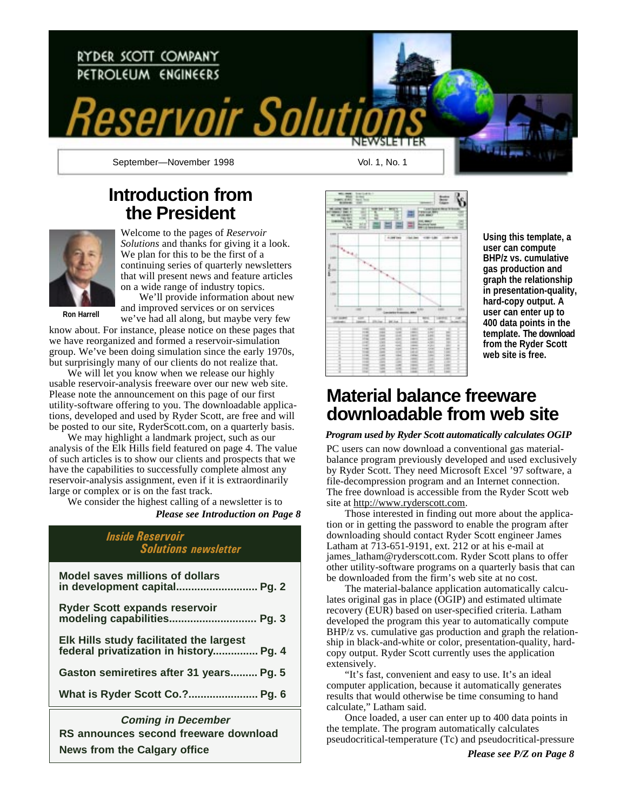

### **Introduction from the President**



Welcome to the pages of *Reservoir Solutions* and thanks for giving it a look. We plan for this to be the first of a continuing series of quarterly newsletters that will present news and feature articles on a wide range of industry topics.

**Ron Harrell**

We'll provide information about new and improved services or on services we've had all along, but maybe very few

know about. For instance, please notice on these pages that we have reorganized and formed a reservoir-simulation group. We've been doing simulation since the early 1970s, but surprisingly many of our clients do not realize that.

We will let you know when we release our highly usable reservoir-analysis freeware over our new web site. Please note the announcement on this page of our first utility-software offering to you. The downloadable applications, developed and used by Ryder Scott, are free and will be posted to our site, RyderScott.com, on a quarterly basis.

We may highlight a landmark project, such as our analysis of the Elk Hills field featured on page 4. The value of such articles is to show our clients and prospects that we have the capabilities to successfully complete almost any reservoir-analysis assignment, even if it is extraordinarily large or complex or is on the fast track.

We consider the highest calling of a newsletter is to *Please see Introduction on Page 8*

### Inside Reservoir Solutions newsletter

| What is Ryder Scott Co. ? Pg. 6                                                   |
|-----------------------------------------------------------------------------------|
| Gaston semiretires after 31 years Pg. 5                                           |
| Elk Hills study facilitated the largest<br>federal privatization in history Pg. 4 |
| <b>Ryder Scott expands reservoir</b><br>modeling capabilities Pg. 3               |
| <b>Model saves millions of dollars</b>                                            |

**RS announces second freeware download News from the Calgary office Coming in December**



**Using this template, a user can compute BHP/z vs. cumulative gas production and graph the relationship in presentation-quality, hard-copy output. A user can enter up to 400 data points in the template. The download from the Ryder Scott web site is free.**

### **Material balance freeware downloadable from web site**

*Program used by Ryder Scott automatically calculates OGIP*

PC users can now download a conventional gas materialbalance program previously developed and used exclusively by Ryder Scott. They need Microsoft Excel '97 software, a file-decompression program and an Internet connection. The free download is accessible from the Ryder Scott web site at http://www.ryderscott.com.

Those interested in finding out more about the application or in getting the password to enable the program after downloading should contact Ryder Scott engineer James Latham at 713-651-9191, ext. 212 or at his e-mail at james\_latham@ryderscott.com. Ryder Scott plans to offer other utility-software programs on a quarterly basis that can be downloaded from the firm's web site at no cost.

The material-balance application automatically calculates original gas in place (OGIP) and estimated ultimate recovery (EUR) based on user-specified criteria. Latham developed the program this year to automatically compute BHP/z vs. cumulative gas production and graph the relationship in black-and-white or color, presentation-quality, hardcopy output. Ryder Scott currently uses the application extensively.

"It's fast, convenient and easy to use. It's an ideal computer application, because it automatically generates results that would otherwise be time consuming to hand calculate," Latham said.

Once loaded, a user can enter up to 400 data points in the template. The program automatically calculates pseudocritical-temperature (Tc) and pseudocritical-pressure

*Please see P/Z on Page 8*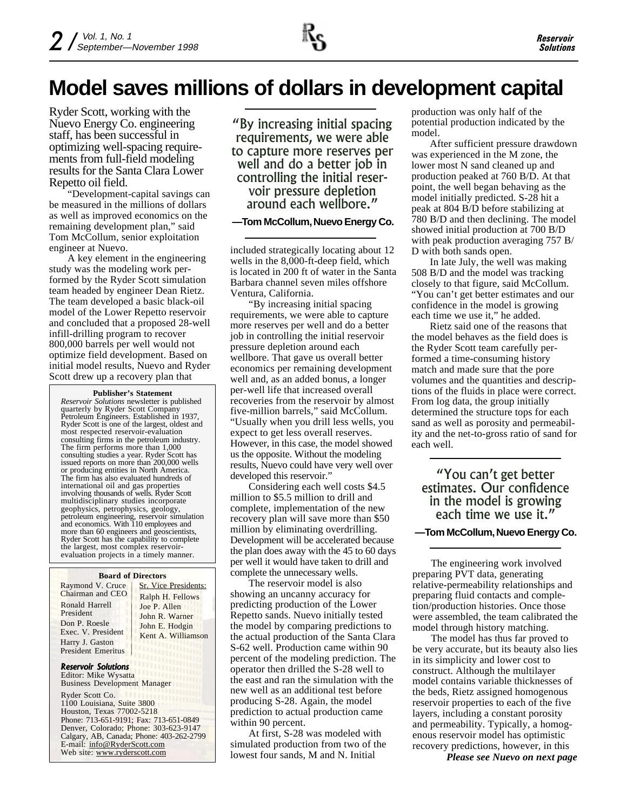### **Model saves millions of dollars in development capital**

Ryder Scott, working with the Nuevo Energy Co. engineering staff, has been successful in optimizing well-spacing requirements from full-field modeling results for the Santa Clara Lower Repetto oil field.

"Development-capital savings can be measured in the millions of dollars as well as improved economics on the remaining development plan," said Tom McCollum, senior exploitation engineer at Nuevo.

A key element in the engineering study was the modeling work performed by the Ryder Scott simulation team headed by engineer Dean Rietz. The team developed a basic black-oil model of the Lower Repetto reservoir and concluded that a proposed 28-well infill-drilling program to recover 800,000 barrels per well would not optimize field development. Based on initial model results, Nuevo and Ryder Scott drew up a recovery plan that

#### **Publisher's Statement**

*Reservoir Solutions* newsletter is published quarterly by Ryder Scott Company Petroleum Engineers. Established in 1937, Ryder Scott is one of the largest, oldest and most respected reservoir-evaluation consulting firms in the petroleum industry. The firm performs more than 1,000 consulting studies a year. Ryder Scott has issued reports on more than 200,000 wells or producing entities in North America. The firm has also evaluated hundreds of international oil and gas properties involving thousands of wells. Ryder Scott multidisciplinary studies incorporate geophysics, petrophysics, geology, petroleum engineering, reservoir simulation and economics. With 110 employees and more than 60 engineers and geoscientists, Ryder Scott has the capability to complete the largest, most complex reservoirevaluation projects in a timely manner.

#### **Board of Directors**

Raymond V. Cruce Chairman and CEO Ronald Harrell President Don P. Roesle Exec. V. President Harry J. Gaston President Emeritus

Sr. Vice Presidents: Ralph H. Fellows Joe P. Allen John R. Warner John E. Hodgin Kent A. Williamson

#### Reservoir Solutions

Editor: Mike Wysatta Business Development Manager

Ryder Scott Co. 1100 Louisiana, Suite 3800 Houston, Texas 77002-5218 Phone: 713-651-9191; Fax: 713-651-0849 Denver, Colorado; Phone: 303-623-9147 Calgary, AB, Canada; Phone: 403-262-2799 E-mail: info@RyderScott.com Web site: www.ryderscott.com

By increasing initial spacing requirements, we were able to capture more reserves per well and do a better job in controlling the initial reservoir pressure depletion around each wellbore.

### **—Tom McCollum, Nuevo Energy Co.**

included strategically locating about 12 wells in the 8,000-ft-deep field, which is located in 200 ft of water in the Santa Barbara channel seven miles offshore Ventura, California.

"By increasing initial spacing requirements, we were able to capture more reserves per well and do a better job in controlling the initial reservoir pressure depletion around each wellbore. That gave us overall better economics per remaining development well and, as an added bonus, a longer per-well life that increased overall recoveries from the reservoir by almost five-million barrels," said McCollum.

"Usually when you drill less wells, you expect to get less overall reserves. However, in this case, the model showed us the opposite. Without the modeling results, Nuevo could have very well over developed this reservoir."

Considering each well costs \$4.5 million to \$5.5 million to drill and complete, implementation of the new recovery plan will save more than \$50 million by eliminating overdrilling. Development will be accelerated because the plan does away with the 45 to 60 days per well it would have taken to drill and complete the unnecessary wells.

The reservoir model is also showing an uncanny accuracy for predicting production of the Lower Repetto sands. Nuevo initially tested the model by comparing predictions to the actual production of the Santa Clara S-62 well. Production came within 90 percent of the modeling prediction. The operator then drilled the S-28 well to the east and ran the simulation with the new well as an additional test before producing S-28. Again, the model prediction to actual production came within 90 percent.

At first, S-28 was modeled with simulated production from two of the lowest four sands, M and N. Initial

production was only half of the potential production indicated by the model.

After sufficient pressure drawdown was experienced in the M zone, the lower most N sand cleaned up and production peaked at 760 B/D. At that point, the well began behaving as the model initially predicted. S-28 hit a peak at 804 B/D before stabilizing at 780 B/D and then declining. The model showed initial production at 700 B/D with peak production averaging 757 B/ D with both sands open.

In late July, the well was making 508 B/D and the model was tracking closely to that figure, said McCollum. "You can't get better estimates and our confidence in the model is growing each time we use it," he added.

Rietz said one of the reasons that the model behaves as the field does is the Ryder Scott team carefully performed a time-consuming history match and made sure that the pore volumes and the quantities and descriptions of the fluids in place were correct. From log data, the group initially determined the structure tops for each sand as well as porosity and permeability and the net-to-gross ratio of sand for each well.

"You can't get better estimates. Our confidence in the model is growing each time we use it."

### **—Tom McCollum, Nuevo Energy Co.**

The engineering work involved preparing PVT data, generating relative-permeability relationships and preparing fluid contacts and completion/production histories. Once those were assembled, the team calibrated the model through history matching.

The model has thus far proved to be very accurate, but its beauty also lies in its simplicity and lower cost to construct. Although the multilayer model contains variable thicknesses of the beds, Rietz assigned homogenous reservoir properties to each of the five layers, including a constant porosity and permeability. Typically, a homogenous reservoir model has optimistic recovery predictions, however, in this

*Please see Nuevo on next page*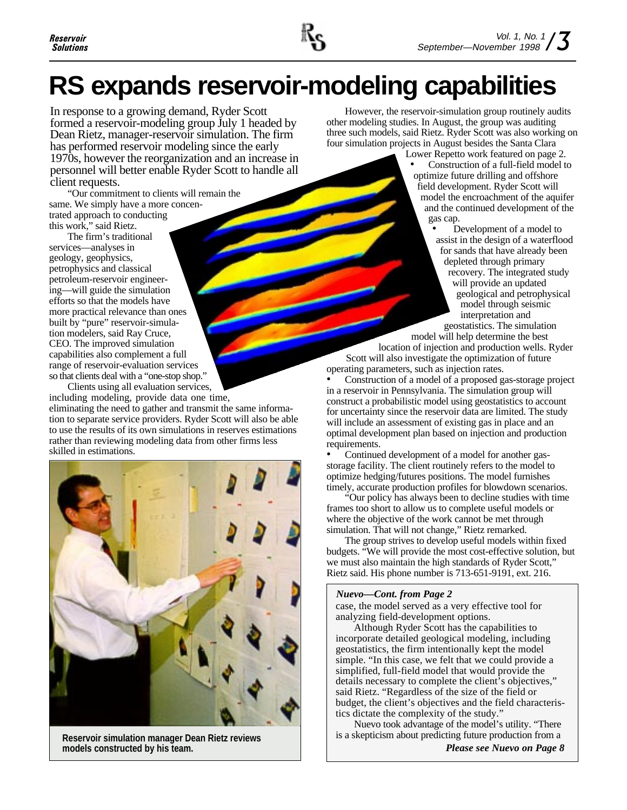

## **RS expands reservoir-modeling capabilities**

In response to a growing demand, Ryder Scott formed a reservoir-modeling group July 1 headed by Dean Rietz, manager-reservoir simulation. The firm has performed reservoir modeling since the early 1970s, however the reorganization and an increase in personnel will better enable Ryder Scott to handle all client requests.

"Our commitment to clients will remain the same. We simply have a more concentrated approach to conducting this work," said Rietz.

The firm's traditional services—analyses in geology, geophysics, petrophysics and classical petroleum-reservoir engineering—will guide the simulation efforts so that the models have more practical relevance than ones built by "pure" reservoir-simulation modelers, said Ray Cruce, CEO. The improved simulation capabilities also complement a full range of reservoir-evaluation services so that clients deal with a "one-stop shop."

Clients using all evaluation services, including modeling, provide data one time, eliminating the need to gather and transmit the same information to separate service providers. Ryder Scott will also be able to use the results of its own simulations in reserves estimations rather than reviewing modeling data from other firms less skilled in estimations.



**Reservoir simulation manager Dean Rietz reviews models constructed by his team.**

However, the reservoir-simulation group routinely audits other modeling studies. In August, the group was auditing three such models, said Rietz. Ryder Scott was also working on four simulation projects in August besides the Santa Clara

Lower Repetto work featured on page 2. • Construction of a full-field model to optimize future drilling and offshore field development. Ryder Scott will model the encroachment of the aquifer and the continued development of the gas cap.

Development of a model to assist in the design of a waterflood for sands that have already been depleted through primary recovery. The integrated study will provide an updated geological and petrophysical model through seismic interpretation and geostatistics. The simulation model will help determine the best

location of injection and production wells. Ryder Scott will also investigate the optimization of future operating parameters, such as injection rates.

• Construction of a model of a proposed gas-storage project in a reservoir in Pennsylvania. The simulation group will construct a probabilistic model using geostatistics to account for uncertainty since the reservoir data are limited. The study will include an assessment of existing gas in place and an optimal development plan based on injection and production requirements.

• Continued development of a model for another gasstorage facility. The client routinely refers to the model to optimize hedging/futures positions. The model furnishes timely, accurate production profiles for blowdown scenarios.

"Our policy has always been to decline studies with time frames too short to allow us to complete useful models or where the objective of the work cannot be met through simulation. That will not change," Rietz remarked.

The group strives to develop useful models within fixed budgets. "We will provide the most cost-effective solution, but we must also maintain the high standards of Ryder Scott," Rietz said. His phone number is 713-651-9191, ext. 216.

### *Nuevo—Cont. from Page 2*

case, the model served as a very effective tool for analyzing field-development options.

Although Ryder Scott has the capabilities to incorporate detailed geological modeling, including geostatistics, the firm intentionally kept the model simple. "In this case, we felt that we could provide a simplified, full-field model that would provide the details necessary to complete the client's objectives," said Rietz. "Regardless of the size of the field or budget, the client's objectives and the field characteristics dictate the complexity of the study."

Nuevo took advantage of the model's utility. "There is a skepticism about predicting future production from a

*Please see Nuevo on Page 8*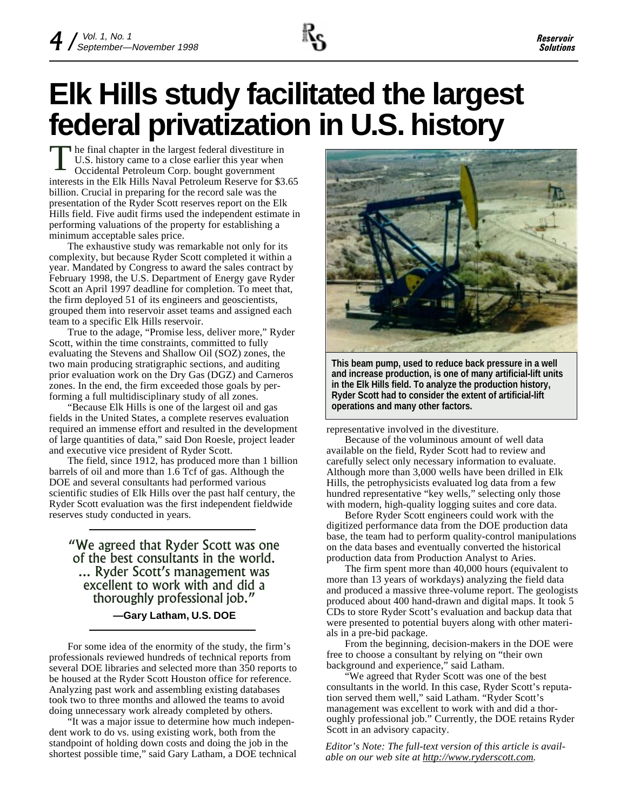

# **Elk Hills study facilitated the largest federal privatization in U.S. history**

he final chapter in the largest federal divestiture in U.S. history came to a close earlier this year when Occidental Petroleum Corp. bought government T interests in the Elk Hills Naval Petroleum Reserve for \$3.65 billion. Crucial in preparing for the record sale was the presentation of the Ryder Scott reserves report on the Elk Hills field. Five audit firms used the independent estimate in performing valuations of the property for establishing a minimum acceptable sales price.

The exhaustive study was remarkable not only for its complexity, but because Ryder Scott completed it within a year. Mandated by Congress to award the sales contract by February 1998, the U.S. Department of Energy gave Ryder Scott an April 1997 deadline for completion. To meet that, the firm deployed 51 of its engineers and geoscientists, grouped them into reservoir asset teams and assigned each team to a specific Elk Hills reservoir.

True to the adage, "Promise less, deliver more," Ryder Scott, within the time constraints, committed to fully evaluating the Stevens and Shallow Oil (SOZ) zones, the two main producing stratigraphic sections, and auditing prior evaluation work on the Dry Gas (DGZ) and Carneros zones. In the end, the firm exceeded those goals by performing a full multidisciplinary study of all zones.

"Because Elk Hills is one of the largest oil and gas fields in the United States, a complete reserves evaluation required an immense effort and resulted in the development of large quantities of data," said Don Roesle, project leader and executive vice president of Ryder Scott.

The field, since 1912, has produced more than 1 billion barrels of oil and more than 1.6 Tcf of gas. Although the DOE and several consultants had performed various scientific studies of Elk Hills over the past half century, the Ryder Scott evaluation was the first independent fieldwide reserves study conducted in years.

We agreed that Ryder Scott was one of the best consultants in the world. ... Ryder Scott's management was excellent to work with and did a thoroughly professional job. **—Gary Latham, U.S. DOE**

For some idea of the enormity of the study, the firm's professionals reviewed hundreds of technical reports from several DOE libraries and selected more than 350 reports to be housed at the Ryder Scott Houston office for reference. Analyzing past work and assembling existing databases took two to three months and allowed the teams to avoid doing unnecessary work already completed by others.

"It was a major issue to determine how much independent work to do vs. using existing work, both from the standpoint of holding down costs and doing the job in the shortest possible time," said Gary Latham, a DOE technical



**This beam pump, used to reduce back pressure in a well and increase production, is one of many artificial-lift units in the Elk Hills field. To analyze the production history, Ryder Scott had to consider the extent of artificial-lift operations and many other factors.**

representative involved in the divestiture.

Because of the voluminous amount of well data available on the field, Ryder Scott had to review and carefully select only necessary information to evaluate. Although more than 3,000 wells have been drilled in Elk Hills, the petrophysicists evaluated log data from a few hundred representative "key wells," selecting only those with modern, high-quality logging suites and core data.

Before Ryder Scott engineers could work with the digitized performance data from the DOE production data base, the team had to perform quality-control manipulations on the data bases and eventually converted the historical production data from Production Analyst to Aries.

The firm spent more than 40,000 hours (equivalent to more than 13 years of workdays) analyzing the field data and produced a massive three-volume report. The geologists produced about 400 hand-drawn and digital maps. It took 5 CDs to store Ryder Scott's evaluation and backup data that were presented to potential buyers along with other materials in a pre-bid package.

From the beginning, decision-makers in the DOE were free to choose a consultant by relying on "their own background and experience," said Latham.

"We agreed that Ryder Scott was one of the best consultants in the world. In this case, Ryder Scott's reputation served them well," said Latham. "Ryder Scott's management was excellent to work with and did a thoroughly professional job." Currently, the DOE retains Ryder Scott in an advisory capacity.

*Editor's Note: The full-text version of this article is available on our web site at http://www.ryderscott.com.*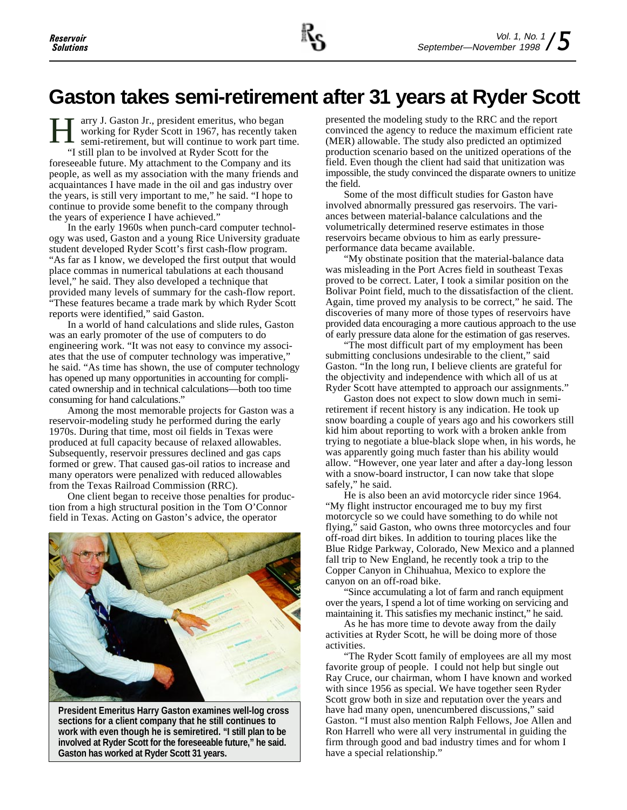### **Gaston takes semi-retirement after 31 years at Ryder Scott**

arry J. Gaston Jr., president emeritus, who began working for Ryder Scott in 1967, has recently taken semi-retirement, but will continue to work part time. H "I still plan to be involved at Ryder Scott for the foreseeable future. My attachment to the Company and its people, as well as my association with the many friends and acquaintances I have made in the oil and gas industry over the years, is still very important to me," he said. "I hope to continue to provide some benefit to the company through the years of experience I have achieved."

In the early 1960s when punch-card computer technology was used, Gaston and a young Rice University graduate student developed Ryder Scott's first cash-flow program. "As far as I know, we developed the first output that would place commas in numerical tabulations at each thousand level," he said. They also developed a technique that provided many levels of summary for the cash-flow report. "These features became a trade mark by which Ryder Scott reports were identified," said Gaston.

In a world of hand calculations and slide rules, Gaston was an early promoter of the use of computers to do engineering work. "It was not easy to convince my associates that the use of computer technology was imperative," he said. "As time has shown, the use of computer technology has opened up many opportunities in accounting for complicated ownership and in technical calculations—both too time consuming for hand calculations."

Among the most memorable projects for Gaston was a reservoir-modeling study he performed during the early 1970s. During that time, most oil fields in Texas were produced at full capacity because of relaxed allowables. Subsequently, reservoir pressures declined and gas caps formed or grew. That caused gas-oil ratios to increase and many operators were penalized with reduced allowables from the Texas Railroad Commission (RRC).

One client began to receive those penalties for production from a high structural position in the Tom O'Connor field in Texas. Acting on Gaston's advice, the operator



**President Emeritus Harry Gaston examines well-log cross sections for a client company that he still continues to work with even though he is semiretired. "I still plan to be involved at Ryder Scott for the foreseeable future," he said. Gaston has worked at Ryder Scott 31 years.**

presented the modeling study to the RRC and the report convinced the agency to reduce the maximum efficient rate (MER) allowable. The study also predicted an optimized production scenario based on the unitized operations of the field. Even though the client had said that unitization was impossible, the study convinced the disparate owners to unitize the field.

Some of the most difficult studies for Gaston have involved abnormally pressured gas reservoirs. The variances between material-balance calculations and the volumetrically determined reserve estimates in those reservoirs became obvious to him as early pressureperformance data became available.

"My obstinate position that the material-balance data was misleading in the Port Acres field in southeast Texas proved to be correct. Later, I took a similar position on the Bolivar Point field, much to the dissatisfaction of the client. Again, time proved my analysis to be correct," he said. The discoveries of many more of those types of reservoirs have provided data encouraging a more cautious approach to the use of early pressure data alone for the estimation of gas reserves.

"The most difficult part of my employment has been submitting conclusions undesirable to the client," said Gaston. "In the long run, I believe clients are grateful for the objectivity and independence with which all of us at Ryder Scott have attempted to approach our assignments."

Gaston does not expect to slow down much in semiretirement if recent history is any indication. He took up snow boarding a couple of years ago and his coworkers still kid him about reporting to work with a broken ankle from trying to negotiate a blue-black slope when, in his words, he was apparently going much faster than his ability would allow. "However, one year later and after a day-long lesson with a snow-board instructor, I can now take that slope safely," he said.

He is also been an avid motorcycle rider since 1964. "My flight instructor encouraged me to buy my first motorcycle so we could have something to do while not flying," said Gaston, who owns three motorcycles and four off-road dirt bikes. In addition to touring places like the Blue Ridge Parkway, Colorado, New Mexico and a planned fall trip to New England, he recently took a trip to the Copper Canyon in Chihuahua, Mexico to explore the canyon on an off-road bike.

"Since accumulating a lot of farm and ranch equipment over the years, I spend a lot of time working on servicing and maintaining it. This satisfies my mechanic instinct," he said.

As he has more time to devote away from the daily activities at Ryder Scott, he will be doing more of those activities.

"The Ryder Scott family of employees are all my most favorite group of people. I could not help but single out Ray Cruce, our chairman, whom I have known and worked with since 1956 as special. We have together seen Ryder Scott grow both in size and reputation over the years and have had many open, unencumbered discussions," said Gaston. "I must also mention Ralph Fellows, Joe Allen and Ron Harrell who were all very instrumental in guiding the firm through good and bad industry times and for whom I have a special relationship."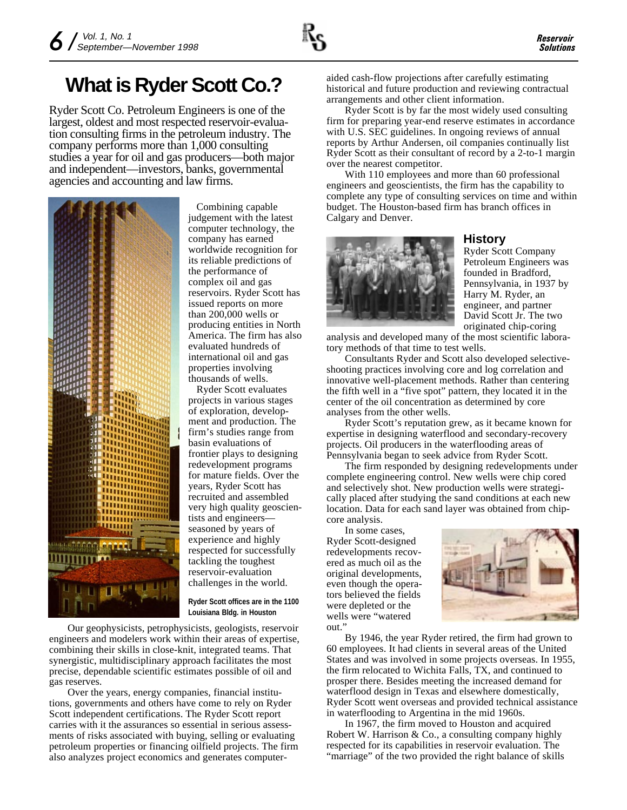## **What is Ryder Scott Co.?**

Ryder Scott Co. Petroleum Engineers is one of the largest, oldest and most respected reservoir-evaluation consulting firms in the petroleum industry. The company performs more than 1,000 consulting studies a year for oil and gas producers—both major and independent—investors, banks, governmental agencies and accounting and law firms.



Combining capable judgement with the latest computer technology, the company has earned worldwide recognition for its reliable predictions of the performance of complex oil and gas reservoirs. Ryder Scott has issued reports on more than 200,000 wells or producing entities in North America. The firm has also evaluated hundreds of international oil and gas properties involving thousands of wells.

Ryder Scott evaluates projects in various stages of exploration, development and production. The firm's studies range from basin evaluations of frontier plays to designing redevelopment programs for mature fields. Over the years, Ryder Scott has recruited and assembled very high quality geoscientists and engineers seasoned by years of experience and highly respected for successfully tackling the toughest reservoir-evaluation challenges in the world.

**Ryder Scott offices are in the 1100 Louisiana Bldg. in Houston**

Our geophysicists, petrophysicists, geologists, reservoir engineers and modelers work within their areas of expertise, combining their skills in close-knit, integrated teams. That synergistic, multidisciplinary approach facilitates the most precise, dependable scientific estimates possible of oil and gas reserves.

Over the years, energy companies, financial institutions, governments and others have come to rely on Ryder Scott independent certifications. The Ryder Scott report carries with it the assurances so essential in serious assessments of risks associated with buying, selling or evaluating petroleum properties or financing oilfield projects. The firm also analyzes project economics and generates computeraided cash-flow projections after carefully estimating historical and future production and reviewing contractual arrangements and other client information.

Ryder Scott is by far the most widely used consulting firm for preparing year-end reserve estimates in accordance with U.S. SEC guidelines. In ongoing reviews of annual reports by Arthur Andersen, oil companies continually list Ryder Scott as their consultant of record by a 2-to-1 margin over the nearest competitor.

With 110 employees and more than 60 professional engineers and geoscientists, the firm has the capability to complete any type of consulting services on time and within budget. The Houston-based firm has branch offices in Calgary and Denver.



### **History**

Ryder Scott Company Petroleum Engineers was founded in Bradford, Pennsylvania, in 1937 by Harry M. Ryder, an engineer, and partner David Scott Jr. The two originated chip-coring

analysis and developed many of the most scientific laboratory methods of that time to test wells.

Consultants Ryder and Scott also developed selectiveshooting practices involving core and log correlation and innovative well-placement methods. Rather than centering the fifth well in a "five spot" pattern, they located it in the center of the oil concentration as determined by core analyses from the other wells.

Ryder Scott's reputation grew, as it became known for expertise in designing waterflood and secondary-recovery projects. Oil producers in the waterflooding areas of Pennsylvania began to seek advice from Ryder Scott.

The firm responded by designing redevelopments under complete engineering control. New wells were chip cored and selectively shot. New production wells were strategically placed after studying the sand conditions at each new location. Data for each sand layer was obtained from chipcore analysis.

In some cases, Ryder Scott-designed redevelopments recovered as much oil as the original developments, even though the operators believed the fields were depleted or the wells were "watered out.'



By 1946, the year Ryder retired, the firm had grown to 60 employees. It had clients in several areas of the United States and was involved in some projects overseas. In 1955, the firm relocated to Wichita Falls, TX, and continued to prosper there. Besides meeting the increased demand for waterflood design in Texas and elsewhere domestically, Ryder Scott went overseas and provided technical assistance in waterflooding to Argentina in the mid 1960s.

In 1967, the firm moved to Houston and acquired Robert W. Harrison & Co., a consulting company highly respected for its capabilities in reservoir evaluation. The "marriage" of the two provided the right balance of skills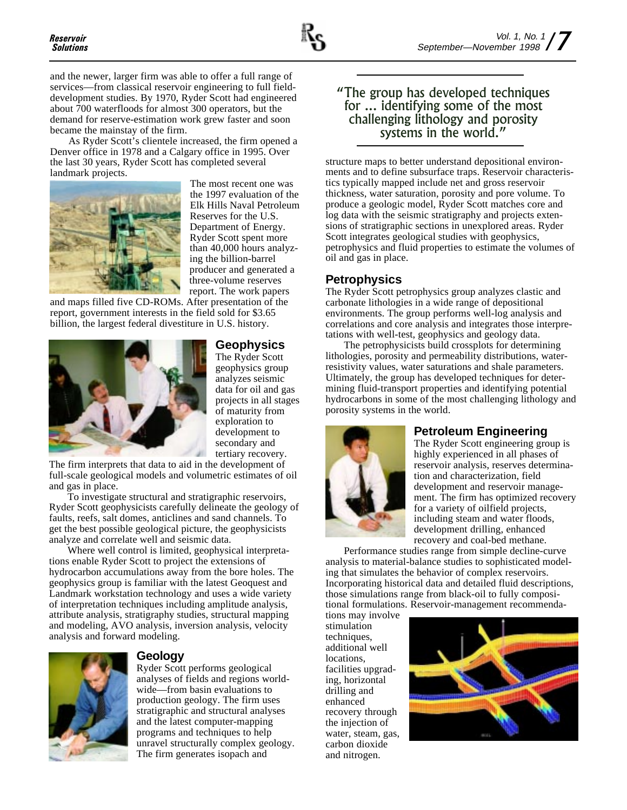and the newer, larger firm was able to offer a full range of services—from classical reservoir engineering to full fielddevelopment studies. By 1970, Ryder Scott had engineered about 700 waterfloods for almost 300 operators, but the demand for reserve-estimation work grew faster and soon became the mainstay of the firm.

As Ryder Scott's clientele increased, the firm opened a Denver office in 1978 and a Calgary office in 1995. Over the last 30 years, Ryder Scott has completed several landmark projects.



The most recent one was the 1997 evaluation of the Elk Hills Naval Petroleum Reserves for the U.S. Department of Energy. Ryder Scott spent more than 40,000 hours analyzing the billion-barrel producer and generated a three-volume reserves report. The work papers

and maps filled five CD-ROMs. After presentation of the report, government interests in the field sold for \$3.65 billion, the largest federal divestiture in U.S. history.



**Geophysics** The Ryder Scott geophysics group analyzes seismic data for oil and gas projects in all stages of maturity from exploration to development to secondary and tertiary recovery.

The firm interprets that data to aid in the development of full-scale geological models and volumetric estimates of oil and gas in place.

To investigate structural and stratigraphic reservoirs, Ryder Scott geophysicists carefully delineate the geology of faults, reefs, salt domes, anticlines and sand channels. To get the best possible geological picture, the geophysicists analyze and correlate well and seismic data.

Where well control is limited, geophysical interpretations enable Ryder Scott to project the extensions of hydrocarbon accumulations away from the bore holes. The geophysics group is familiar with the latest Geoquest and Landmark workstation technology and uses a wide variety of interpretation techniques including amplitude analysis, attribute analysis, stratigraphy studies, structural mapping and modeling, AVO analysis, inversion analysis, velocity analysis and forward modeling.



### **Geology**

Ryder Scott performs geological analyses of fields and regions worldwide—from basin evaluations to production geology. The firm uses stratigraphic and structural analyses and the latest computer-mapping programs and techniques to help unravel structurally complex geology. The firm generates isopach and

### The group has developed techniques for ... identifying some of the most challenging lithology and porosity systems in the world.

structure maps to better understand depositional environments and to define subsurface traps. Reservoir characteristics typically mapped include net and gross reservoir thickness, water saturation, porosity and pore volume. To produce a geologic model, Ryder Scott matches core and log data with the seismic stratigraphy and projects extensions of stratigraphic sections in unexplored areas. Ryder Scott integrates geological studies with geophysics, petrophysics and fluid properties to estimate the volumes of oil and gas in place.

### **Petrophysics**

The Ryder Scott petrophysics group analyzes clastic and carbonate lithologies in a wide range of depositional environments. The group performs well-log analysis and correlations and core analysis and integrates those interpretations with well-test, geophysics and geology data.

The petrophysicists build crossplots for determining lithologies, porosity and permeability distributions, waterresistivity values, water saturations and shale parameters. Ultimately, the group has developed techniques for determining fluid-transport properties and identifying potential hydrocarbons in some of the most challenging lithology and porosity systems in the world.



### **Petroleum Engineering**

The Ryder Scott engineering group is highly experienced in all phases of reservoir analysis, reserves determination and characterization, field development and reservoir management. The firm has optimized recovery for a variety of oilfield projects, including steam and water floods, development drilling, enhanced recovery and coal-bed methane.

Performance studies range from simple decline-curve analysis to material-balance studies to sophisticated modeling that simulates the behavior of complex reservoirs. Incorporating historical data and detailed fluid descriptions, those simulations range from black-oil to fully compositional formulations. Reservoir-management recommenda-

tions may involve stimulation techniques, additional well locations, facilities upgrading, horizontal drilling and enhanced recovery through the injection of water, steam, gas, carbon dioxide and nitrogen.